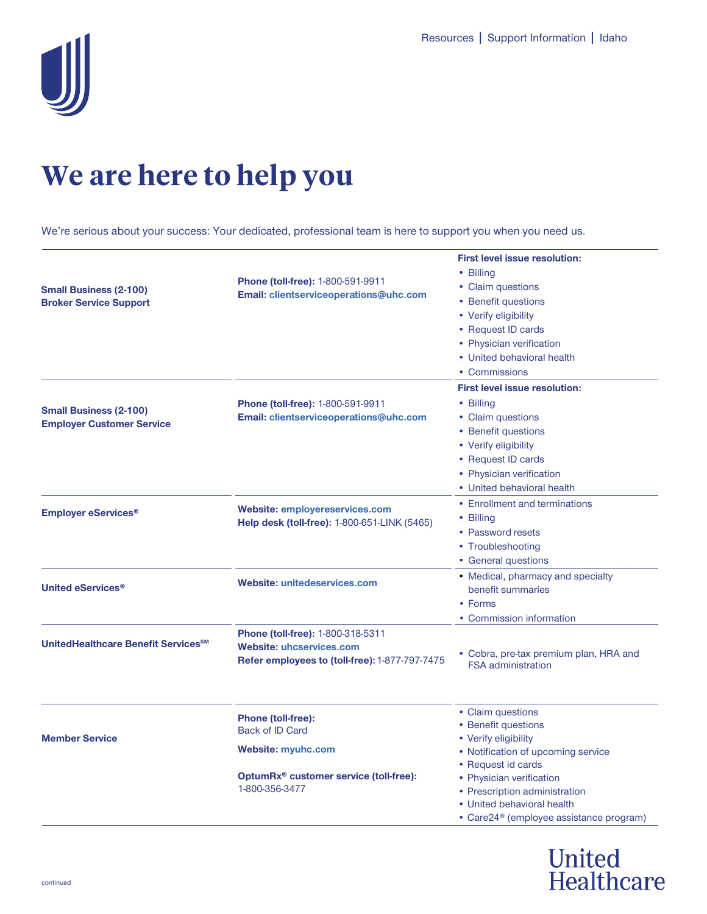

## **We are here to help you**

We're serious about your success: Your dedicated, professional team is here to support you when you need us.

| <b>Small Business (2-100)</b><br><b>Broker Service Support</b>    | <b>Phone (toll-free): 1-800-591-9911</b><br>Email: clientserviceoperations@uhc.com                                                           | <b>First level issue resolution:</b><br>• Billing<br>• Claim questions<br>• Benefit questions<br>• Verify eligibility<br>• Request ID cards<br>• Physician verification<br>• United behavioral health<br>• Commissions |
|-------------------------------------------------------------------|----------------------------------------------------------------------------------------------------------------------------------------------|------------------------------------------------------------------------------------------------------------------------------------------------------------------------------------------------------------------------|
| <b>Small Business (2-100)</b><br><b>Employer Customer Service</b> | Phone (toll-free): 1-800-591-9911<br>Email: clientserviceoperations@uhc.com                                                                  | <b>First level issue resolution:</b><br>• Billing<br>• Claim questions<br>• Benefit questions<br>• Verify eligibility<br>• Request ID cards<br>• Physician verification<br>• United behavioral health                  |
| <b>Employer eServices<sup>®</sup></b>                             | <b>Website: employereservices.com</b><br><b>Help desk (toll-free): 1-800-651-LINK (5465)</b>                                                 | • Enrollment and terminations<br>• Billing<br>• Password resets<br>• Troubleshooting<br>• General questions                                                                                                            |
| United eServices <sup>®</sup>                                     | Website: unitedeservices.com                                                                                                                 | • Medical, pharmacy and specialty<br>benefit summaries<br>• Forms<br>• Commission information                                                                                                                          |
| UnitedHealthcare Benefit Services <sup>SM</sup>                   | Phone (toll-free): 1-800-318-5311<br><b>Website: uhcservices.com</b><br>Refer employees to (toll-free): 1-877-797-7475                       | • Cobra, pre-tax premium plan, HRA and<br><b>FSA</b> administration                                                                                                                                                    |
| <b>Member Service</b>                                             | <b>Phone (toll-free):</b><br><b>Back of ID Card</b><br><b>Website: myuhc.com</b><br>OptumRx® customer service (toll-free):<br>1-800-356-3477 | • Claim questions<br>• Benefit questions<br>• Verify eligibility<br>• Notification of upcoming service<br>• Request id cards<br>• Physician verification                                                               |
|                                                                   |                                                                                                                                              | • Prescription administration<br>• United behavioral health<br>• Care24 <sup>®</sup> (employee assistance program)                                                                                                     |